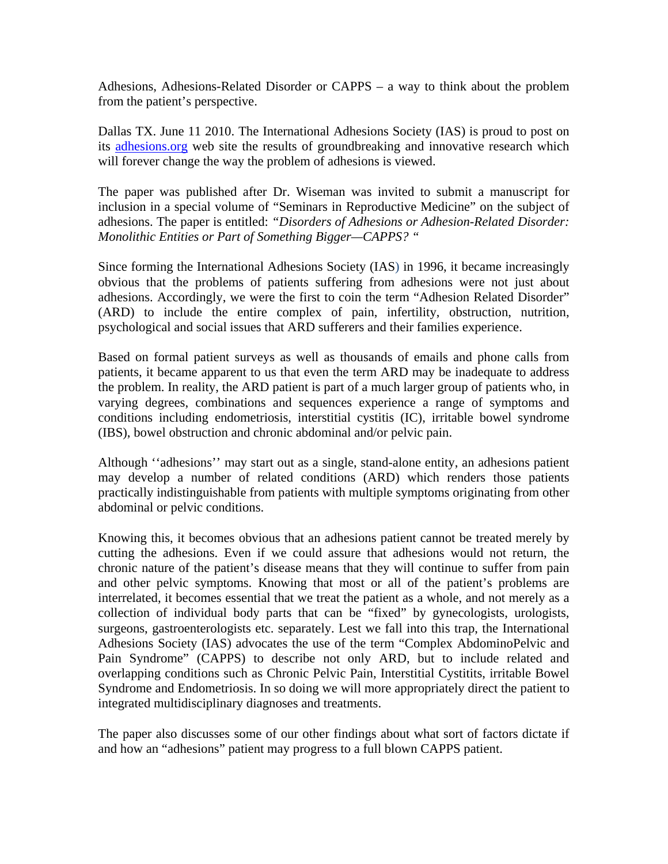Adhesions, Adhesions-Related Disorder or CAPPS – a way to think about the problem from the patient's perspective.

Dallas TX. June 11 2010. The International Adhesions Society (IAS) is proud to post on its adhesions.org web site the results of groundbreaking and innovative research which will forever change the way the problem of adhesions is viewed.

The paper was published after Dr. Wiseman was invited to submit a manuscript for inclusion in a special volume of "Seminars in Reproductive Medicine" on the subject of adhesions. The paper is entitled: *"Disorders of Adhesions or Adhesion-Related Disorder: Monolithic Entities or Part of Something Bigger—CAPPS? "* 

Since forming the International Adhesions Society (IAS) in 1996, it became increasingly obvious that the problems of patients suffering from adhesions were not just about adhesions. Accordingly, we were the first to coin the term "Adhesion Related Disorder" (ARD) to include the entire complex of pain, infertility, obstruction, nutrition, psychological and social issues that ARD sufferers and their families experience.

Based on formal patient surveys as well as thousands of emails and phone calls from patients, it became apparent to us that even the term ARD may be inadequate to address the problem. In reality, the ARD patient is part of a much larger group of patients who, in varying degrees, combinations and sequences experience a range of symptoms and conditions including endometriosis, interstitial cystitis (IC), irritable bowel syndrome (IBS), bowel obstruction and chronic abdominal and/or pelvic pain.

Although ''adhesions'' may start out as a single, stand-alone entity, an adhesions patient may develop a number of related conditions (ARD) which renders those patients practically indistinguishable from patients with multiple symptoms originating from other abdominal or pelvic conditions.

Knowing this, it becomes obvious that an adhesions patient cannot be treated merely by cutting the adhesions. Even if we could assure that adhesions would not return, the chronic nature of the patient's disease means that they will continue to suffer from pain and other pelvic symptoms. Knowing that most or all of the patient's problems are interrelated, it becomes essential that we treat the patient as a whole, and not merely as a collection of individual body parts that can be "fixed" by gynecologists, urologists, surgeons, gastroenterologists etc. separately. Lest we fall into this trap, the International Adhesions Society (IAS) advocates the use of the term "Complex AbdominoPelvic and Pain Syndrome" (CAPPS) to describe not only ARD, but to include related and overlapping conditions such as Chronic Pelvic Pain, Interstitial Cystitits, irritable Bowel Syndrome and Endometriosis. In so doing we will more appropriately direct the patient to integrated multidisciplinary diagnoses and treatments.

The paper also discusses some of our other findings about what sort of factors dictate if and how an "adhesions" patient may progress to a full blown CAPPS patient.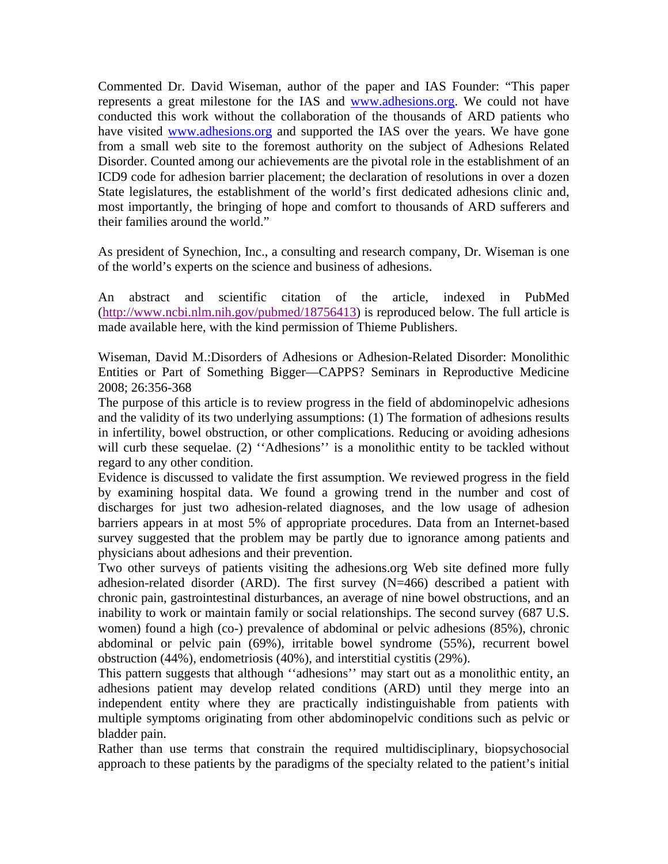Commented Dr. David Wiseman, author of the paper and IAS Founder: "This paper represents a great milestone for the IAS and www.adhesions.org. We could not have conducted this work without the collaboration of the thousands of ARD patients who have visited www.adhesions.org and supported the IAS over the years. We have gone from a small web site to the foremost authority on the subject of Adhesions Related Disorder. Counted among our achievements are the pivotal role in the establishment of an ICD9 code for adhesion barrier placement; the declaration of resolutions in over a dozen State legislatures, the establishment of the world's first dedicated adhesions clinic and, most importantly, the bringing of hope and comfort to thousands of ARD sufferers and their families around the world."

As president of Synechion, Inc., a consulting and research company, Dr. Wiseman is one of the world's experts on the science and business of adhesions.

An abstract and scientific citation of the article, indexed in PubMed (http://www.ncbi.nlm.nih.gov/pubmed/18756413) is reproduced below. The full article is made available here, with the kind permission of Thieme Publishers.

Wiseman, David M.:Disorders of Adhesions or Adhesion-Related Disorder: Monolithic Entities or Part of Something Bigger—CAPPS? Seminars in Reproductive Medicine 2008; 26:356-368

The purpose of this article is to review progress in the field of abdominopelvic adhesions and the validity of its two underlying assumptions: (1) The formation of adhesions results in infertility, bowel obstruction, or other complications. Reducing or avoiding adhesions will curb these sequelae. (2) "Adhesions" is a monolithic entity to be tackled without regard to any other condition.

Evidence is discussed to validate the first assumption. We reviewed progress in the field by examining hospital data. We found a growing trend in the number and cost of discharges for just two adhesion-related diagnoses, and the low usage of adhesion barriers appears in at most 5% of appropriate procedures. Data from an Internet-based survey suggested that the problem may be partly due to ignorance among patients and physicians about adhesions and their prevention.

Two other surveys of patients visiting the adhesions.org Web site defined more fully adhesion-related disorder (ARD). The first survey (N=466) described a patient with chronic pain, gastrointestinal disturbances, an average of nine bowel obstructions, and an inability to work or maintain family or social relationships. The second survey (687 U.S. women) found a high (co-) prevalence of abdominal or pelvic adhesions (85%), chronic abdominal or pelvic pain (69%), irritable bowel syndrome (55%), recurrent bowel obstruction (44%), endometriosis (40%), and interstitial cystitis (29%).

This pattern suggests that although ''adhesions'' may start out as a monolithic entity, an adhesions patient may develop related conditions (ARD) until they merge into an independent entity where they are practically indistinguishable from patients with multiple symptoms originating from other abdominopelvic conditions such as pelvic or bladder pain.

Rather than use terms that constrain the required multidisciplinary, biopsychosocial approach to these patients by the paradigms of the specialty related to the patient's initial